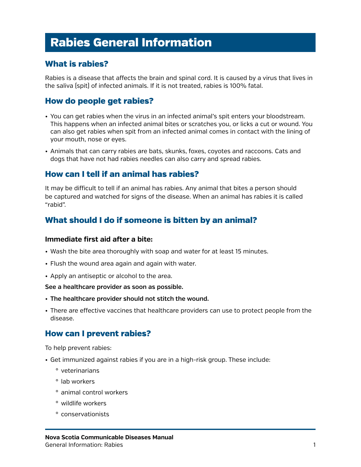# Rabies General Information

## What is rabies?

Rabies is a disease that affects the brain and spinal cord. It is caused by a virus that lives in the saliva (spit) of infected animals. If it is not treated, rabies is 100% fatal.

## How do people get rabies?

- • You can get rabies when the virus in an infected animal's spit enters your bloodstream. This happens when an infected animal bites or scratches you, or licks a cut or wound. You can also get rabies when spit from an infected animal comes in contact with the lining of your mouth, nose or eyes.
- • Animals that can carry rabies are bats, skunks, foxes, coyotes and raccoons. Cats and dogs that have not had rabies needles can also carry and spread rabies.

### How can I tell if an animal has rabies?

It may be difficult to tell if an animal has rabies. Any animal that bites a person should be captured and watched for signs of the disease. When an animal has rabies it is called "rabid".

### What should I do if someone is bitten by an animal?

#### **Immediate first aid after a bite:**

- Wash the bite area thoroughly with soap and water for at least 15 minutes.
- Flush the wound area again and again with water.
- Apply an antiseptic or alcohol to the area.

#### **See a healthcare provider as soon as possible.**

- • **The healthcare provider should not stitch the wound.**
- • There are effective vaccines that healthcare providers can use to protect people from the disease.

#### How can I prevent rabies?

To help prevent rabies:

- • Get immunized against rabies if you are in a high-risk group. These include:
	- º veterinarians
	- º lab workers
	- º animal control workers
	- º wildlife workers
	- º conservationists